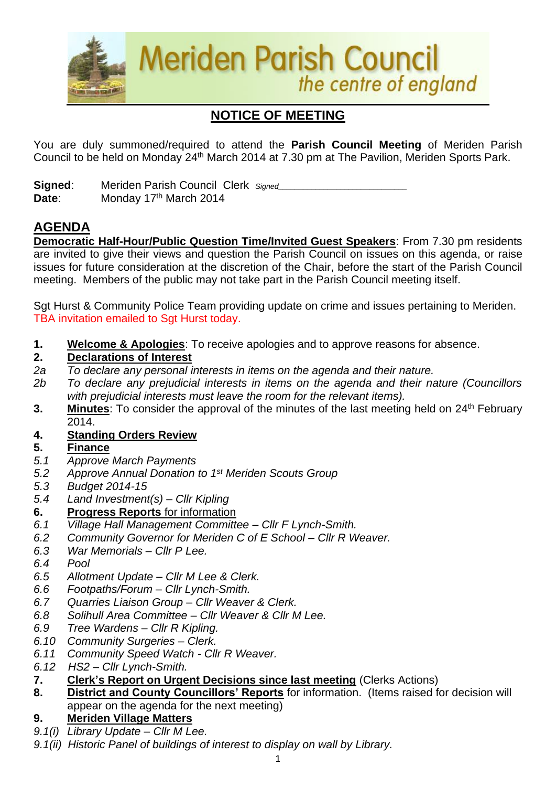

# **NOTICE OF MEETING**

You are duly summoned/required to attend the **Parish Council Meeting** of Meriden Parish Council to be held on Monday 24<sup>th</sup> March 2014 at 7.30 pm at The Pavilion, Meriden Sports Park.

**Signed:** Meriden Parish Council Clerk *Signed* **Date:** Monday 17<sup>th</sup> March 2014

# **AGENDA**

**Democratic Half-Hour/Public Question Time/Invited Guest Speakers**: From 7.30 pm residents are invited to give their views and question the Parish Council on issues on this agenda, or raise issues for future consideration at the discretion of the Chair, before the start of the Parish Council meeting. Members of the public may not take part in the Parish Council meeting itself.

Sgt Hurst & Community Police Team providing update on crime and issues pertaining to Meriden. TBA invitation emailed to Sgt Hurst today.

**1. Welcome & Apologies**: To receive apologies and to approve reasons for absence.

#### **2. Declarations of Interest**

- *2a To declare any personal interests in items on the agenda and their nature.*
- *2b To declare any prejudicial interests in items on the agenda and their nature (Councillors with prejudicial interests must leave the room for the relevant items).*
- 3. Minutes: To consider the approval of the minutes of the last meeting held on 24<sup>th</sup> February 2014.
- **4. Standing Orders Review**

### **5. Finance**

- *5.1 Approve March Payments*
- *5.2 Approve Annual Donation to 1st Meriden Scouts Group*
- *5.3 Budget 2014-15*
- *5.4 Land Investment(s) – Cllr Kipling*
- **6. Progress Reports** for information
- *6.1 Village Hall Management Committee – Cllr F Lynch-Smith.*
- *6.2 Community Governor for Meriden C of E School – Cllr R Weaver.*
- *6.3 War Memorials – Cllr P Lee.*
- *6.4 Pool*
- *6.5 Allotment Update – Cllr M Lee & Clerk.*
- *6.6 Footpaths/Forum – Cllr Lynch-Smith.*
- *6.7 Quarries Liaison Group – Cllr Weaver & Clerk.*
- *6.8 Solihull Area Committee – Cllr Weaver & Cllr M Lee.*
- *6.9 Tree Wardens – Cllr R Kipling.*
- *6.10 Community Surgeries – Clerk.*
- *6.11 Community Speed Watch - Cllr R Weaver.*
- *6.12 HS2 – Cllr Lynch-Smith.*
- **7. Clerk's Report on Urgent Decisions since last meeting** (Clerks Actions)
- **8. District and County Councillors' Reports** for information. (Items raised for decision will appear on the agenda for the next meeting)
- **9. Meriden Village Matters**
- *9.1(i) Library Update – Cllr M Lee.*
- *9.1(ii) Historic Panel of buildings of interest to display on wall by Library.*